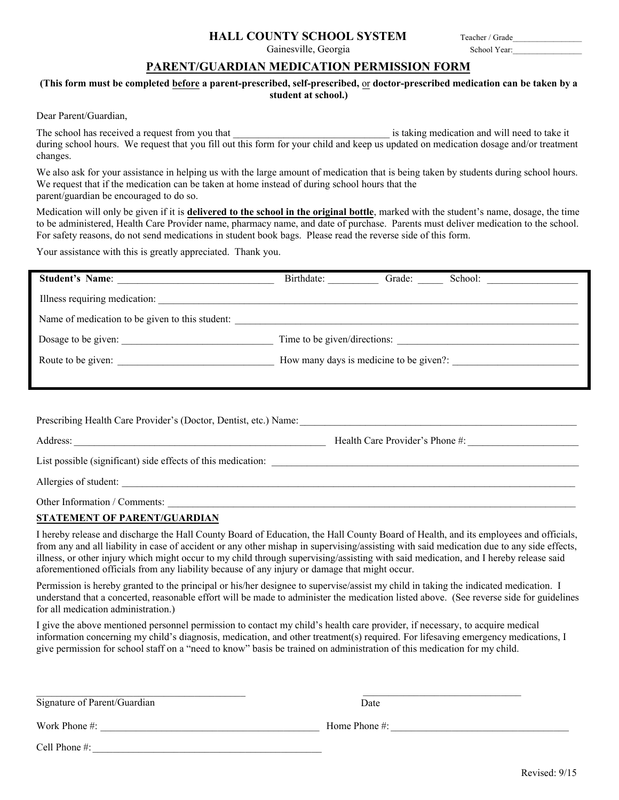## **HALL COUNTY SCHOOL SYSTEM**

Gainesville, Georgia

## **PARENT/GUARDIAN MEDICATION PERMISSION FORM**

## **(This form must be completed before a parent-prescribed, self-prescribed,** or **doctor-prescribed medication can be taken by a student at school.)**

Dear Parent/Guardian,

The school has received a request from you that \_\_\_\_\_\_\_\_\_\_\_\_\_\_\_\_\_\_\_\_\_\_\_\_\_\_\_\_\_\_\_ is taking medication and will need to take it during school hours. We request that you fill out this form for your child and keep us updated on medication dosage and/or treatment changes.

We also ask for your assistance in helping us with the large amount of medication that is being taken by students during school hours. We request that if the medication can be taken at home instead of during school hours that the parent/guardian be encouraged to do so.

Medication will only be given if it is **delivered to the school in the original bottle**, marked with the student's name, dosage, the time to be administered, Health Care Provider name, pharmacy name, and date of purchase. Parents must deliver medication to the school. For safety reasons, do not send medications in student book bags. Please read the reverse side of this form.

Your assistance with this is greatly appreciated. Thank you.

| <b>Student's Name:</b>                          | Birthdate:                              | Grade: | School: |
|-------------------------------------------------|-----------------------------------------|--------|---------|
| Illness requiring medication:                   |                                         |        |         |
| Name of medication to be given to this student: |                                         |        |         |
| Dosage to be given:                             | Time to be given/directions:            |        |         |
| Route to be given:                              | How many days is medicine to be given?: |        |         |
|                                                 |                                         |        |         |

| Prescribing Health Care Provider's (Doctor, Dentist, etc.) Name:                                                                  |                                 |
|-----------------------------------------------------------------------------------------------------------------------------------|---------------------------------|
| Address:<br><u> 1989 - Johann Stoff, deutscher Stoff, der Stoff, der Stoff, der Stoff, der Stoff, der Stoff, der Stoff, der S</u> | Health Care Provider's Phone #: |
| List possible (significant) side effects of this medication:                                                                      |                                 |
| Allergies of student:                                                                                                             |                                 |
| Other Information / Comments:                                                                                                     |                                 |

**STATEMENT OF PARENT/GUARDIAN**

I hereby release and discharge the Hall County Board of Education, the Hall County Board of Health, and its employees and officials, from any and all liability in case of accident or any other mishap in supervising/assisting with said medication due to any side effects, illness, or other injury which might occur to my child through supervising/assisting with said medication, and I hereby release said aforementioned officials from any liability because of any injury or damage that might occur.

Permission is hereby granted to the principal or his/her designee to supervise/assist my child in taking the indicated medication. I understand that a concerted, reasonable effort will be made to administer the medication listed above. (See reverse side for guidelines for all medication administration.)

I give the above mentioned personnel permission to contact my child's health care provider, if necessary, to acquire medical information concerning my child's diagnosis, medication, and other treatment(s) required. For lifesaving emergency medications, I give permission for school staff on a "need to know" basis be trained on administration of this medication for my child.

 $\_$  . The contribution of the contribution of  $\mathcal{L}_\mathcal{A}$ 

\_\_\_\_\_\_\_\_\_\_\_\_\_\_\_\_\_\_\_\_\_\_\_\_\_\_\_\_\_\_\_ Date

Work Phone #: \_\_\_\_\_\_\_\_\_\_\_\_\_\_\_\_\_\_\_\_\_\_\_\_\_\_\_\_\_\_\_\_\_\_\_\_\_\_\_\_\_\_\_ Home Phone #: \_\_\_\_\_\_\_\_\_\_\_\_\_\_\_\_\_\_\_\_\_\_\_\_\_\_\_\_\_\_\_\_\_\_\_

Cell Phone #: \_\_\_\_\_\_\_\_\_\_\_\_\_\_\_\_\_\_\_\_\_\_\_\_\_\_\_\_\_\_\_\_\_\_\_\_\_\_\_\_\_\_\_\_\_

Teacher / Grade\_\_\_\_\_\_\_\_\_\_\_\_\_\_\_\_\_

School Year: